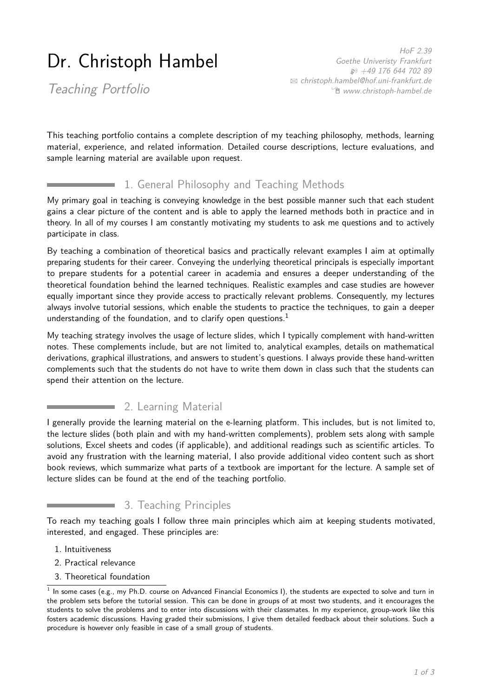# Dr. Christoph Hambel

HoF 2.39 Goethe Univeristy Frankfurt H +49 176 644 702 89 B [christoph.hambel@hof.uni-frankfurt.de](mailto:christoph.hambel@hof.uni-frankfurt.de) Í [www.christoph-hambel.de](https://www.christoph-hambel.de)

Teaching Portfolio

This teaching portfolio contains a complete description of my teaching philosophy, methods, learning material, experience, and related information. Detailed course descriptions, lecture evaluations, and sample learning material are available upon request.

#### 1. General Philosophy and Teaching Methods

My primary goal in teaching is conveying knowledge in the best possible manner such that each student gains a clear picture of the content and is able to apply the learned methods both in practice and in theory. In all of my courses I am constantly motivating my students to ask me questions and to actively participate in class.

By teaching a combination of theoretical basics and practically relevant examples I aim at optimally preparing students for their career. Conveying the underlying theoretical principals is especially important to prepare students for a potential career in academia and ensures a deeper understanding of the theoretical foundation behind the learned techniques. Realistic examples and case studies are however equally important since they provide access to practically relevant problems. Consequently, my lectures always involve tutorial sessions, which enable the students to practice the techniques, to gain a deeper understanding of the foundation, and to clarify open questions. $<sup>1</sup>$  $<sup>1</sup>$  $<sup>1</sup>$ </sup>

My teaching strategy involves the usage of lecture slides, which I typically complement with hand-written notes. These complements include, but are not limited to, analytical examples, details on mathematical derivations, graphical illustrations, and answers to student's questions. I always provide these hand-written complements such that the students do not have to write them down in class such that the students can spend their attention on the lecture.

### **2. Learning Material**

I generally provide the learning material on the e-learning platform. This includes, but is not limited to, the lecture slides (both plain and with my hand-written complements), problem sets along with sample solutions, Excel sheets and codes (if applicable), and additional readings such as scientific articles. To avoid any frustration with the learning material, I also provide additional video content such as short book reviews, which summarize what parts of a textbook are important for the lecture. A sample set of lecture slides can be found at the end of the teaching portfolio.

## 3. Teaching Principles

To reach my teaching goals I follow three main principles which aim at keeping students motivated, interested, and engaged. These principles are:

- 1. Intuitiveness
- 2. Practical relevance
- 3. Theoretical foundation

<span id="page-0-0"></span> $^1$  In some cases (e.g., my Ph.D. course on Advanced Financial Economics I), the students are expected to solve and turn in the problem sets before the tutorial session. This can be done in groups of at most two students, and it encourages the students to solve the problems and to enter into discussions with their classmates. In my experience, group-work like this fosters academic discussions. Having graded their submissions, I give them detailed feedback about their solutions. Such a procedure is however only feasible in case of a small group of students.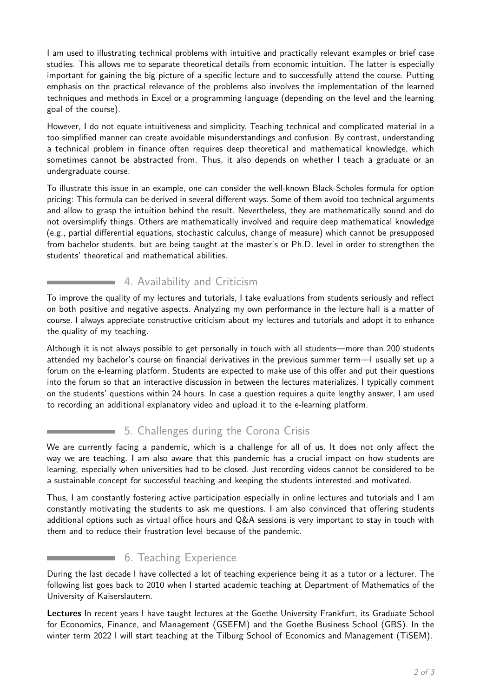I am used to illustrating technical problems with intuitive and practically relevant examples or brief case studies. This allows me to separate theoretical details from economic intuition. The latter is especially important for gaining the big picture of a specific lecture and to successfully attend the course. Putting emphasis on the practical relevance of the problems also involves the implementation of the learned techniques and methods in Excel or a programming language (depending on the level and the learning goal of the course).

However, I do not equate intuitiveness and simplicity. Teaching technical and complicated material in a too simplified manner can create avoidable misunderstandings and confusion. By contrast, understanding a technical problem in finance often requires deep theoretical and mathematical knowledge, which sometimes cannot be abstracted from. Thus, it also depends on whether I teach a graduate or an undergraduate course.

To illustrate this issue in an example, one can consider the well-known Black-Scholes formula for option pricing: This formula can be derived in several different ways. Some of them avoid too technical arguments and allow to grasp the intuition behind the result. Nevertheless, they are mathematically sound and do not oversimplify things. Others are mathematically involved and require deep mathematical knowledge (e.g., partial differential equations, stochastic calculus, change of measure) which cannot be presupposed from bachelor students, but are being taught at the master's or Ph.D. level in order to strengthen the students' theoretical and mathematical abilities.

### 4. Availability and Criticism

To improve the quality of my lectures and tutorials, I take evaluations from students seriously and reflect on both positive and negative aspects. Analyzing my own performance in the lecture hall is a matter of course. I always appreciate constructive criticism about my lectures and tutorials and adopt it to enhance the quality of my teaching.

Although it is not always possible to get personally in touch with all students—more than 200 students attended my bachelor's course on financial derivatives in the previous summer term—I usually set up a forum on the e-learning platform. Students are expected to make use of this offer and put their questions into the forum so that an interactive discussion in between the lectures materializes. I typically comment on the students' questions within 24 hours. In case a question requires a quite lengthy answer, I am used to recording an additional explanatory video and upload it to the e-learning platform.

### 5. Challenges during the Corona Crisis

We are currently facing a pandemic, which is a challenge for all of us. It does not only affect the way we are teaching. I am also aware that this pandemic has a crucial impact on how students are learning, especially when universities had to be closed. Just recording videos cannot be considered to be a sustainable concept for successful teaching and keeping the students interested and motivated.

Thus, I am constantly fostering active participation especially in online lectures and tutorials and I am constantly motivating the students to ask me questions. I am also convinced that offering students additional options such as virtual office hours and Q&A sessions is very important to stay in touch with them and to reduce their frustration level because of the pandemic.

### 6. Teaching Experience

**Service Control** 

During the last decade I have collected a lot of teaching experience being it as a tutor or a lecturer. The following list goes back to 2010 when I started academic teaching at Department of Mathematics of the University of Kaiserslautern.

**Lectures** In recent years I have taught lectures at the Goethe University Frankfurt, its Graduate School for Economics, Finance, and Management (GSEFM) and the Goethe Business School (GBS). In the winter term 2022 I will start teaching at the Tilburg School of Economics and Management (TiSEM).